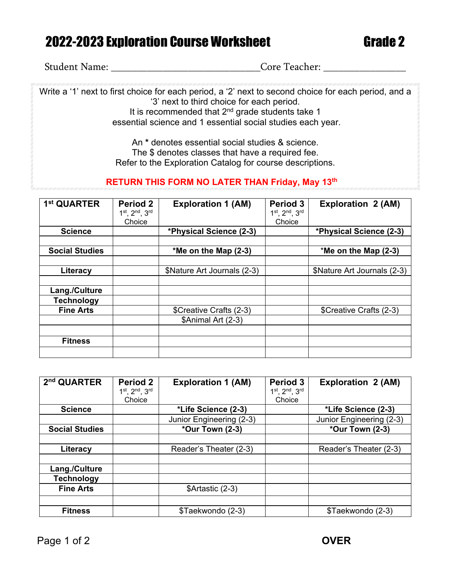## 2022-2023 Exploration Course Worksheet Grade 2

Student Name: \_\_\_\_\_\_\_\_\_\_\_\_\_\_\_\_\_\_\_\_\_\_\_\_\_\_\_\_\_Core Teacher: \_\_\_\_\_\_\_\_\_\_\_\_\_\_\_\_

Write a '1' next to first choice for each period, a '2' next to second choice for each period, and a '3' next to third choice for each period. It is recommended that 2<sup>nd</sup> grade students take 1 essential science and 1 essential social studies each year.

> An **\*** denotes essential social studies & science. The \$ denotes classes that have a required fee. Refer to the Exploration Catalog for course descriptions.

## **RETURN THIS FORM NO LATER THAN Friday, May 13th**

| 1 <sup>st</sup> QUARTER | <b>Period 2</b><br>1st, 2nd, 3rd | <b>Exploration 1 (AM)</b>   | Period 3<br>1st, 2nd, 3rd | <b>Exploration 2 (AM)</b>   |
|-------------------------|----------------------------------|-----------------------------|---------------------------|-----------------------------|
|                         | Choice                           |                             | Choice                    |                             |
| <b>Science</b>          |                                  | *Physical Science (2-3)     |                           | *Physical Science (2-3)     |
|                         |                                  |                             |                           |                             |
| <b>Social Studies</b>   |                                  | *Me on the Map (2-3)        |                           | *Me on the Map (2-3)        |
|                         |                                  |                             |                           |                             |
| Literacy                |                                  | \$Nature Art Journals (2-3) |                           | \$Nature Art Journals (2-3) |
|                         |                                  |                             |                           |                             |
| Lang./Culture           |                                  |                             |                           |                             |
| <b>Technology</b>       |                                  |                             |                           |                             |
| <b>Fine Arts</b>        |                                  | \$Creative Crafts (2-3)     |                           | \$Creative Crafts (2-3)     |
|                         |                                  | \$Animal Art (2-3)          |                           |                             |
|                         |                                  |                             |                           |                             |
| <b>Fitness</b>          |                                  |                             |                           |                             |
|                         |                                  |                             |                           |                             |

| 2 <sup>nd</sup> QUARTER | Period 2      | <b>Exploration 1 (AM)</b> | Period 3      | <b>Exploration 2 (AM)</b> |
|-------------------------|---------------|---------------------------|---------------|---------------------------|
|                         | 1st, 2nd, 3rd |                           | 1st, 2nd, 3rd |                           |
|                         | Choice        |                           | Choice        |                           |
| <b>Science</b>          |               | *Life Science (2-3)       |               | *Life Science (2-3)       |
|                         |               | Junior Engineering (2-3)  |               | Junior Engineering (2-3)  |
| <b>Social Studies</b>   |               | *Our Town (2-3)           |               | *Our Town (2-3)           |
|                         |               |                           |               |                           |
| Literacy                |               | Reader's Theater (2-3)    |               | Reader's Theater (2-3)    |
|                         |               |                           |               |                           |
| Lang./Culture           |               |                           |               |                           |
| <b>Technology</b>       |               |                           |               |                           |
| <b>Fine Arts</b>        |               | \$Artastic (2-3)          |               |                           |
|                         |               |                           |               |                           |
| <b>Fitness</b>          |               | \$Taekwondo (2-3)         |               | \$Taekwondo (2-3)         |